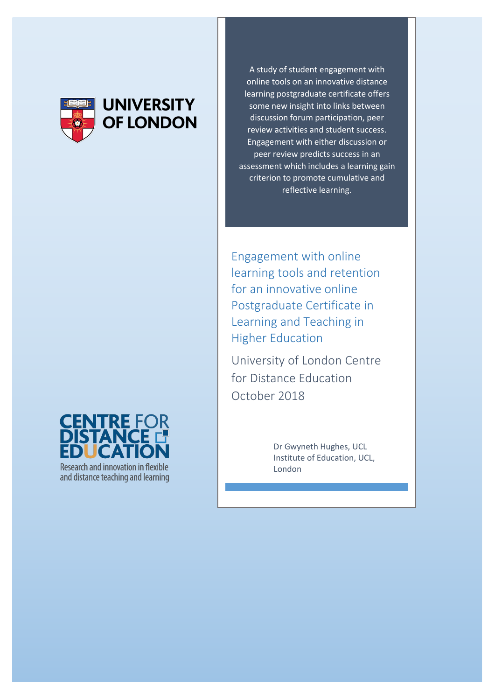

A study of student engagement with online tools on an innovative distance learning postgraduate certificate offers some new insight into links between discussion forum participation, peer review activities and student success. Engagement with either discussion or peer review predicts success in an assessment which includes a learning gain criterion to promote cumulative and reflective learning.

Engagement with online learning tools and retention for an innovative online Postgraduate Certificate in Learning and Teaching in Higher Education

University of London Centre for Distance Education October 2018

> Dr Gwyneth Hughes, UCL Institute of Education, UCL, London

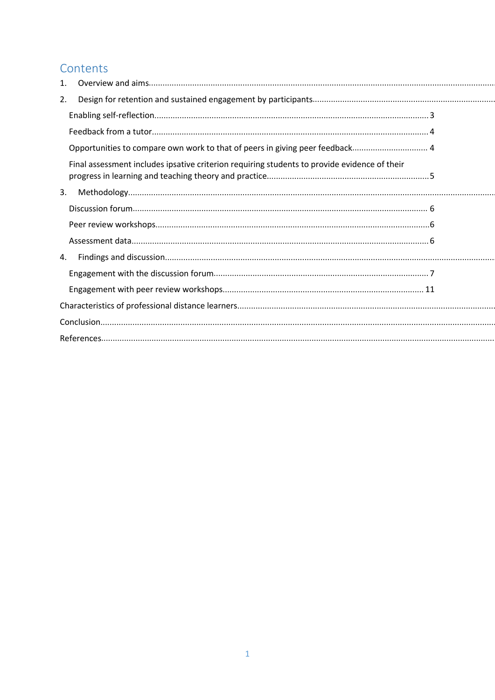# Contents

| $\mathbf{1}$ . |                                                                                              |  |
|----------------|----------------------------------------------------------------------------------------------|--|
| 2.             |                                                                                              |  |
|                |                                                                                              |  |
|                |                                                                                              |  |
|                |                                                                                              |  |
|                | Final assessment includes ipsative criterion requiring students to provide evidence of their |  |
| 3.             |                                                                                              |  |
|                |                                                                                              |  |
|                |                                                                                              |  |
|                |                                                                                              |  |
| 4.             |                                                                                              |  |
|                |                                                                                              |  |
|                |                                                                                              |  |
|                |                                                                                              |  |
|                |                                                                                              |  |
|                |                                                                                              |  |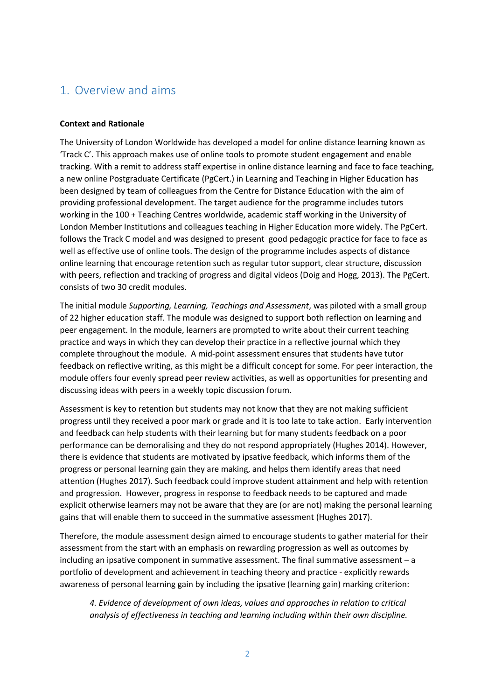### <span id="page-2-0"></span>1. Overview and aims

#### **Context and Rationale**

The University of London Worldwide has developed a model for online distance learning known as 'Track C'. This approach makes use of online tools to promote student engagement and enable tracking. With a remit to address staff expertise in online distance learning and face to face teaching, a new online Postgraduate Certificate (PgCert.) in Learning and Teaching in Higher Education has been designed by team of colleagues from the Centre for Distance Education with the aim of providing professional development. The target audience for the programme includes tutors working in the 100 + Teaching Centres worldwide, academic staff working in the University of London Member Institutions and colleagues teaching in Higher Education more widely. The PgCert. follows the Track C model and was designed to present good pedagogic practice for face to face as well as effective use of online tools. The design of the programme includes aspects of distance online learning that encourage retention such as regular tutor support, clear structure, discussion with peers, reflection and tracking of progress and digital videos (Doig and Hogg, 2013). The PgCert. consists of two 30 credit modules.

The initial module *Supporting, Learning, Teachings and Assessment*, was piloted with a small group of 22 higher education staff. The module was designed to support both reflection on learning and peer engagement. In the module, learners are prompted to write about their current teaching practice and ways in which they can develop their practice in a reflective journal which they complete throughout the module. A mid-point assessment ensures that students have tutor feedback on reflective writing, as this might be a difficult concept for some. For peer interaction, the module offers four evenly spread peer review activities, as well as opportunities for presenting and discussing ideas with peers in a weekly topic discussion forum.

Assessment is key to retention but students may not know that they are not making sufficient progress until they received a poor mark or grade and it is too late to take action. Early intervention and feedback can help students with their learning but for many students feedback on a poor performance can be demoralising and they do not respond appropriately (Hughes 2014). However, there is evidence that students are motivated by ipsative feedback, which informs them of the progress or personal learning gain they are making, and helps them identify areas that need attention (Hughes 2017). Such feedback could improve student attainment and help with retention and progression. However, progress in response to feedback needs to be captured and made explicit otherwise learners may not be aware that they are (or are not) making the personal learning gains that will enable them to succeed in the summative assessment (Hughes 2017).

Therefore, the module assessment design aimed to encourage students to gather material for their assessment from the start with an emphasis on rewarding progression as well as outcomes by including an ipsative component in summative assessment. The final summative assessment – a portfolio of development and achievement in teaching theory and practice - explicitly rewards awareness of personal learning gain by including the ipsative (learning gain) marking criterion:

*4. Evidence of development of own ideas, values and approaches in relation to critical analysis of effectiveness in teaching and learning including within their own discipline.*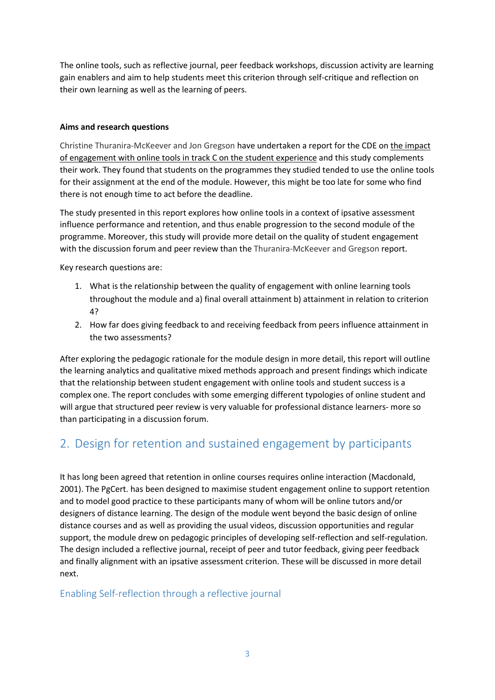The online tools, such as reflective journal, peer feedback workshops, discussion activity are learning gain enablers and aim to help students meet this criterion through self-critique and reflection on their own learning as well as the learning of peers.

#### **Aims and research questions**

Christine Thuranira-McKeever and Jon Gregson have undertaken a report for the CDE on the impact of engagement with online tools in track C on the student experience and this study complements their work. They found that students on the programmes they studied tended to use the online tools for their assignment at the end of the module. However, this might be too late for some who find there is not enough time to act before the deadline.

The study presented in this report explores how online tools in a context of ipsative assessment influence performance and retention, and thus enable progression to the second module of the programme. Moreover, this study will provide more detail on the quality of student engagement with the discussion forum and peer review than the Thuranira-McKeever and Gregson report.

Key research questions are:

- 1. What is the relationship between the quality of engagement with online learning tools throughout the module and a) final overall attainment b) attainment in relation to criterion 4?
- 2. How far does giving feedback to and receiving feedback from peers influence attainment in the two assessments?

After exploring the pedagogic rationale for the module design in more detail, this report will outline the learning analytics and qualitative mixed methods approach and present findings which indicate that the relationship between student engagement with online tools and student success is a complex one. The report concludes with some emerging different typologies of online student and will argue that structured peer review is very valuable for professional distance learners- more so than participating in a discussion forum.

# <span id="page-3-0"></span>2. Design for retention and sustained engagement by participants

It has long been agreed that retention in online courses requires online interaction (Macdonald, 2001). The PgCert. has been designed to maximise student engagement online to support retention and to model good practice to these participants many of whom will be online tutors and/or designers of distance learning. The design of the module went beyond the basic design of online distance courses and as well as providing the usual videos, discussion opportunities and regular support, the module drew on pedagogic principles of developing self-reflection and self-regulation. The design included a reflective journal, receipt of peer and tutor feedback, giving peer feedback and finally alignment with an ipsative assessment criterion. These will be discussed in more detail next.

### <span id="page-3-1"></span>Enabling Self-reflection through a reflective journal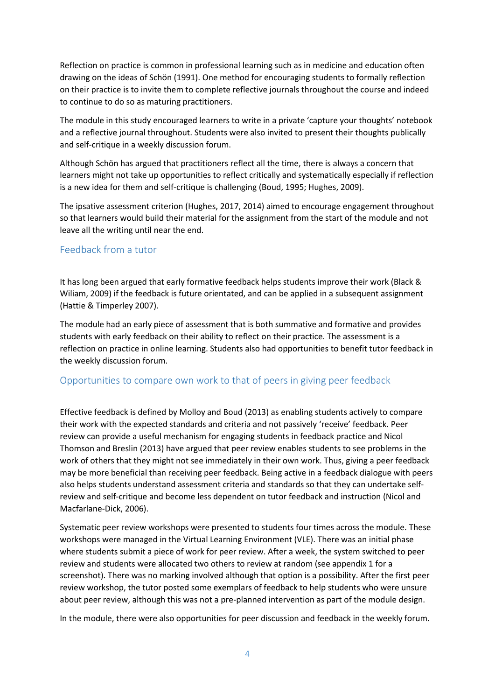Reflection on practice is common in professional learning such as in medicine and education often drawing on the ideas of Schön (1991). One method for encouraging students to formally reflection on their practice is to invite them to complete reflective journals throughout the course and indeed to continue to do so as maturing practitioners.

The module in this study encouraged learners to write in a private 'capture your thoughts' notebook and a reflective journal throughout. Students were also invited to present their thoughts publically and self-critique in a weekly discussion forum.

Although Schön has argued that practitioners reflect all the time, there is always a concern that learners might not take up opportunities to reflect critically and systematically especially if reflection is a new idea for them and self-critique is challenging (Boud, 1995; Hughes, 2009).

The ipsative assessment criterion (Hughes, 2017, 2014) aimed to encourage engagement throughout so that learners would build their material for the assignment from the start of the module and not leave all the writing until near the end.

#### <span id="page-4-0"></span>Feedback from a tutor

It has long been argued that early formative feedback helps students improve their work (Black & Wiliam, 2009) if the feedback is future orientated, and can be applied in a subsequent assignment (Hattie & Timperley 2007).

The module had an early piece of assessment that is both summative and formative and provides students with early feedback on their ability to reflect on their practice. The assessment is a reflection on practice in online learning. Students also had opportunities to benefit tutor feedback in the weekly discussion forum.

#### <span id="page-4-1"></span>Opportunities to compare own work to that of peers in giving peer feedback

Effective feedback is defined by Molloy and Boud (2013) as enabling students actively to compare their work with the expected standards and criteria and not passively 'receive' feedback. Peer review can provide a useful mechanism for engaging students in feedback practice and Nicol Thomson and Breslin (2013) have argued that peer review enables students to see problems in the work of others that they might not see immediately in their own work. Thus, giving a peer feedback may be more beneficial than receiving peer feedback. Being active in a feedback dialogue with peers also helps students understand assessment criteria and standards so that they can undertake self review and self-critique and become less dependent on tutor feedback and instruction (Nicol and Macfarlane-Dick, 2006).

Systematic peer review workshops were presented to students four times across the module. These workshops were managed in the Virtual Learning Environment (VLE). There was an initial phase where students submit a piece of work for peer review. After a week, the system switched to peer review and students were allocated two others to review at random (see appendix 1 for a screenshot). There was no marking involved although that option is a possibility. After the first peer review workshop, the tutor posted some exemplars of feedback to help students who were unsure about peer review, although this was not a pre-planned intervention as part of the module design.

In the module, there were also opportunities for peer discussion and feedback in the weekly forum.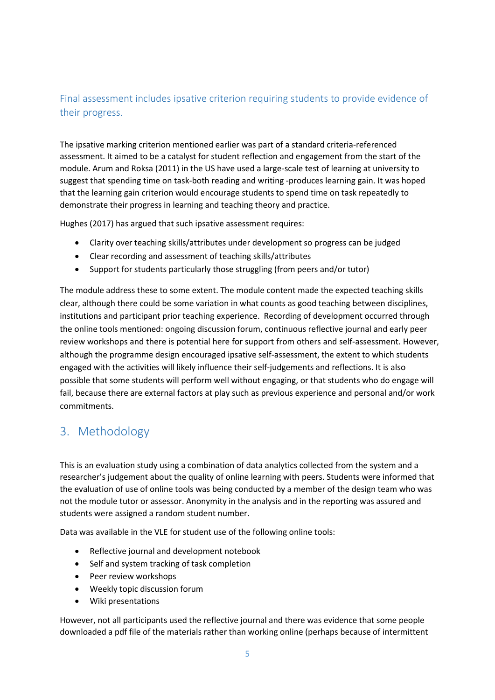### <span id="page-5-0"></span>Final assessment includes ipsative criterion requiring students to provide evidence of their progress.

The ipsative marking criterion mentioned earlier was part of a standard criteria-referenced assessment. It aimed to be a catalyst for student reflection and engagement from the start of the module. Arum and Roksa (2011) in the US have used a large-scale test of learning at university to suggest that spending time on task-both reading and writing -produces learning gain. It was hoped that the learning gain criterion would encourage students to spend time on task repeatedly to demonstrate their progress in learning and teaching theory and practice.

Hughes (2017) has argued that such ipsative assessment requires:

- Clarity over teaching skills/attributes under development so progress can be judged
- Clear recording and assessment of teaching skills/attributes
- Support for students particularly those struggling (from peers and/or tutor)

The module address these to some extent. The module content made the expected teaching skills clear, although there could be some variation in what counts as good teaching between disciplines, institutions and participant prior teaching experience. Recording of development occurred through the online tools mentioned: ongoing discussion forum, continuous reflective journal and early peer review workshops and there is potential here for support from others and self-assessment. However, although the programme design encouraged ipsative self-assessment, the extent to which students engaged with the activities will likely influence their self-judgements and reflections. It is also possible that some students will perform well without engaging, or that students who do engage will fail, because there are external factors at play such as previous experience and personal and/or work commitments.

# <span id="page-5-1"></span>3. Methodology

This is an evaluation study using a combination of data analytics collected from the system and a researcher's judgement about the quality of online learning with peers. Students were informed that the evaluation of use of online tools was being conducted by a member of the design team who was not the module tutor or assessor. Anonymity in the analysis and in the reporting was assured and students were assigned a random student number.

Data was available in the VLE for student use of the following online tools:

- Reflective journal and development notebook
- Self and system tracking of task completion
- Peer review workshops
- Weekly topic discussion forum
- Wiki presentations

However, not all participants used the reflective journal and there was evidence that some people downloaded a pdf file of the materials rather than working online (perhaps because of intermittent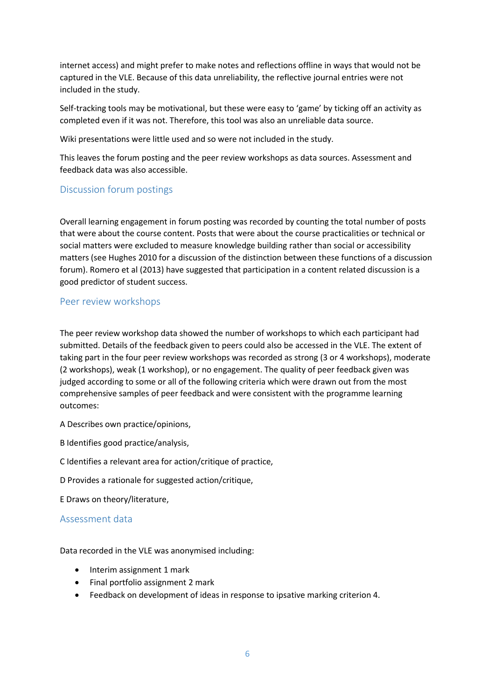internet access) and might prefer to make notes and reflections offline in ways that would not be captured in the VLE. Because of this data unreliability, the reflective journal entries were not

included in the study.<br>Self-tracking tools may be motivational, but these were easy to 'game' by ticking off an activity as completed even if it was not. Therefore, this tool was also an unreliable data source.

Wiki presentations were little used and so were not included in the study.<br>This leaves the forum posting and the peer review workshops as data sources. Assessment and feedback data was also accessible.

#### <span id="page-6-0"></span>Discussion forum postings

Overall learning engagement in forum posting was recorded by counting the total number of posts that were about the course content. Posts that were about the course practicalities or technical or social matters were excluded to measure knowledge building rather than social or accessibility matters (see Hughes 2010 for a discussion of the distinction between these functions of a discussion forum). Romero et al (2013) have suggested that participation in a content related discussion is a good predictor of student success.

#### <span id="page-6-1"></span>Peer review workshops

The peer review workshop data showed the number of workshops to which each participant had submitted. Details of the feedback given to peers could also be accessed in the VLE. The extent of taking part in the four peer review workshops was recorded as strong (3 or 4 workshops), moderate (2 workshops), weak (1 workshop), or no engagement. The quality of peer feedback given was judged according to some or all of the following criteria which were drawn out from the most comprehensive samples of peer feedback and were consistent with the programme learning outcomes:

A Describes own practice/opinions,

B Identifies good practice/analysis,

C Identifies a relevant area for action/critique of practice,

D Provides a rationale for suggested action/critique,

E Draws on theory/literature,

#### <span id="page-6-2"></span>Assessment data

Data recorded in the VLE was anonymised including:

- Interim assignment 1 mark
- Final portfolio assignment 2 mark
- Feedback on development of ideas in response to ipsative marking criterion 4.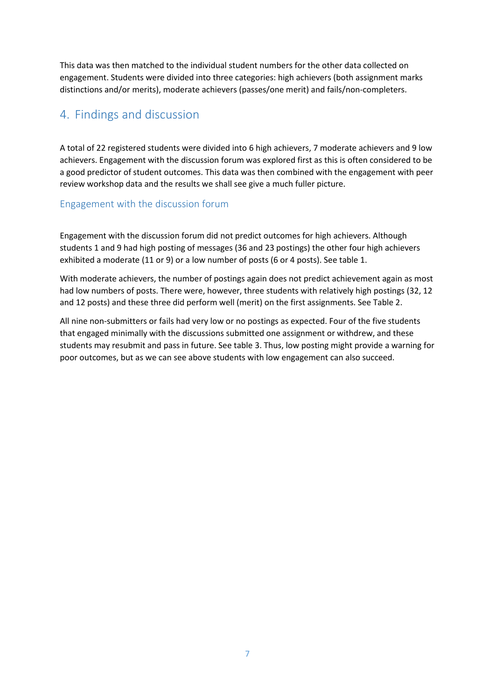This data was then matched to the individual student numbers for the other data collected on engagement. Students were divided into three categories: high achievers (both assignment marks distinctions and/or merits), moderate achievers (passes/one merit) and fails/non-completers.

### <span id="page-7-0"></span>4. Findings and discussion

A total of 22 registered students were divided into 6 high achievers, 7 moderate achievers and 9 low achievers. Engagement with the discussion forum was explored first as this is often considered to be a good predictor of student outcomes. This data was then combined with the engagement with peer review workshop data and the results we shall see give a much fuller picture.

#### <span id="page-7-1"></span>Engagement with the discussion forum

Engagement with the discussion forum did not predict outcomes for high achievers. Although students 1 and 9 had high posting of messages (36 and 23 postings) the other four high achievers exhibited a moderate (11 or 9) or a low number of posts (6 or 4 posts). See table 1.

With moderate achievers, the number of postings again does not predict achievement again as most had low numbers of posts. There were, however, three students with relatively high postings (32, 12 and 12 posts) and these three did perform well (merit) on the first assignments. See Table 2.

All nine non-submitters or fails had very low or no postings as expected. Four of the five students that engaged minimally with the discussions submitted one assignment or withdrew, and these students may resubmit and pass in future. See table 3. Thus, low posting might provide a warning for poor outcomes, but as we can see above students with low engagement can also succeed.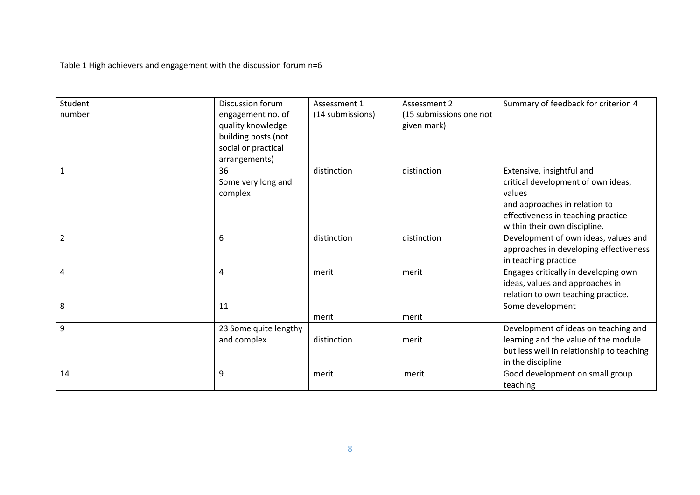Table 1 High achievers and engagement with the discussion forum n=6

| Student        |         | Discussion forum      | Assessment 1     | Assessment 2            | Summary of feedback for criterion 4       |
|----------------|---------|-----------------------|------------------|-------------------------|-------------------------------------------|
| number         |         | engagement no. of     | (14 submissions) | (15 submissions one not |                                           |
|                |         | quality knowledge     |                  | given mark)             |                                           |
|                |         | building posts (not   |                  |                         |                                           |
|                |         | social or practical   |                  |                         |                                           |
|                |         | arrangements)         |                  |                         |                                           |
| $\mathbf{1}$   | 36      |                       | distinction      | distinction             | Extensive, insightful and                 |
|                |         | Some very long and    |                  |                         | critical development of own ideas,        |
|                | complex |                       |                  |                         | values                                    |
|                |         |                       |                  |                         | and approaches in relation to             |
|                |         |                       |                  |                         | effectiveness in teaching practice        |
|                |         |                       |                  |                         | within their own discipline.              |
| $\overline{2}$ | 6       |                       | distinction      | distinction             | Development of own ideas, values and      |
|                |         |                       |                  |                         | approaches in developing effectiveness    |
|                |         |                       |                  |                         | in teaching practice                      |
| 4              | 4       |                       | merit            | merit                   | Engages critically in developing own      |
|                |         |                       |                  |                         | ideas, values and approaches in           |
|                |         |                       |                  |                         | relation to own teaching practice.        |
| 8              | 11      |                       |                  |                         | Some development                          |
|                |         |                       | merit            | merit                   |                                           |
| 9              |         | 23 Some quite lengthy |                  |                         | Development of ideas on teaching and      |
|                |         | and complex           | distinction      | merit                   | learning and the value of the module      |
|                |         |                       |                  |                         | but less well in relationship to teaching |
|                |         |                       |                  |                         | in the discipline                         |
| 14             | 9       |                       | merit            | merit                   | Good development on small group           |
|                |         |                       |                  |                         | teaching                                  |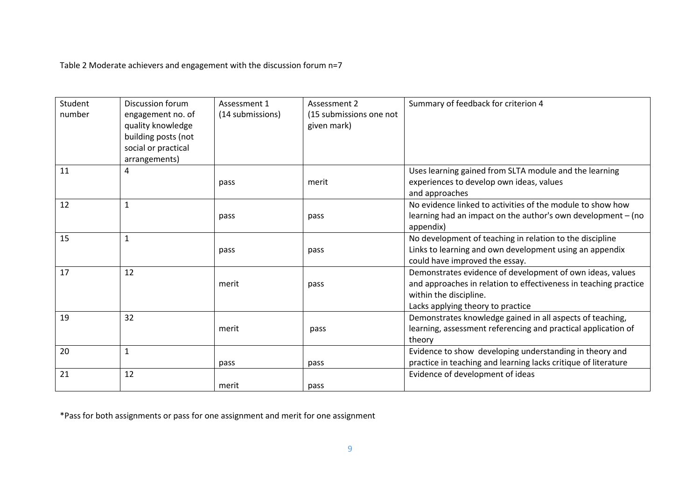Table 2 Moderate achievers and engagement with the discussion forum n=7

| Student | Discussion forum    | Assessment 1     | Assessment 2            | Summary of feedback for criterion 4                              |
|---------|---------------------|------------------|-------------------------|------------------------------------------------------------------|
| number  | engagement no. of   | (14 submissions) | (15 submissions one not |                                                                  |
|         | quality knowledge   |                  | given mark)             |                                                                  |
|         | building posts (not |                  |                         |                                                                  |
|         | social or practical |                  |                         |                                                                  |
|         | arrangements)       |                  |                         |                                                                  |
| 11      | 4                   |                  |                         | Uses learning gained from SLTA module and the learning           |
|         |                     | pass             | merit                   | experiences to develop own ideas, values                         |
|         |                     |                  |                         | and approaches                                                   |
| 12      |                     |                  |                         | No evidence linked to activities of the module to show how       |
|         |                     | pass             | pass                    | learning had an impact on the author's own development $-$ (no   |
|         |                     |                  |                         | appendix)                                                        |
| 15      |                     |                  |                         | No development of teaching in relation to the discipline         |
|         |                     | pass             | pass                    | Links to learning and own development using an appendix          |
|         |                     |                  |                         | could have improved the essay.                                   |
| 17      | 12                  |                  |                         | Demonstrates evidence of development of own ideas, values        |
|         |                     | merit            | pass                    | and approaches in relation to effectiveness in teaching practice |
|         |                     |                  |                         | within the discipline.                                           |
|         |                     |                  |                         | Lacks applying theory to practice                                |
| 19      | 32                  |                  |                         | Demonstrates knowledge gained in all aspects of teaching,        |
|         |                     | merit            | pass                    | learning, assessment referencing and practical application of    |
|         |                     |                  |                         | theory                                                           |
| 20      | $\mathbf{1}$        |                  |                         | Evidence to show developing understanding in theory and          |
|         |                     | pass             | pass                    | practice in teaching and learning lacks critique of literature   |
| 21      | 12                  |                  |                         | Evidence of development of ideas                                 |
|         |                     | merit            | pass                    |                                                                  |

\*Pass for both assignments or pass for one assignment and merit for one assignment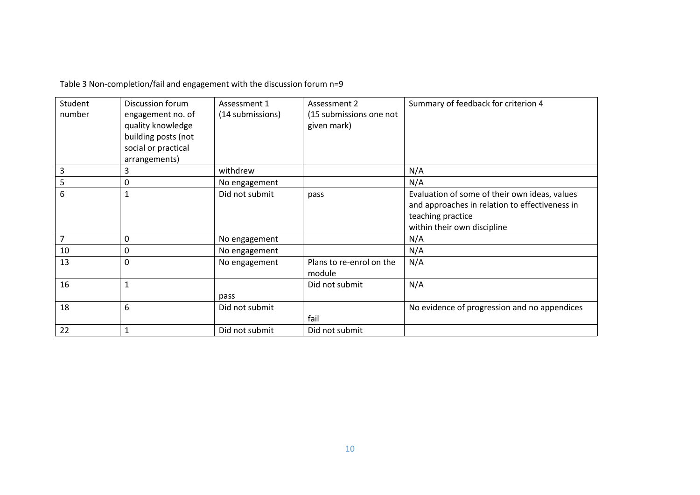Table 3 Non-completion/fail and engagement with the discussion forum n=9

| Student | Discussion forum    | Assessment 1     | Assessment 2             | Summary of feedback for criterion 4            |
|---------|---------------------|------------------|--------------------------|------------------------------------------------|
| number  | engagement no. of   | (14 submissions) | (15 submissions one not  |                                                |
|         | quality knowledge   |                  | given mark)              |                                                |
|         | building posts (not |                  |                          |                                                |
|         | social or practical |                  |                          |                                                |
|         | arrangements)       |                  |                          |                                                |
| 3       | 3                   | withdrew         |                          | N/A                                            |
| כ       | 0                   | No engagement    |                          | N/A                                            |
| 6       |                     | Did not submit   | pass                     | Evaluation of some of their own ideas, values  |
|         |                     |                  |                          | and approaches in relation to effectiveness in |
|         |                     |                  |                          | teaching practice                              |
|         |                     |                  |                          | within their own discipline                    |
|         | 0                   | No engagement    |                          | N/A                                            |
| 10      | 0                   | No engagement    |                          | N/A                                            |
| 13      | $\Omega$            | No engagement    | Plans to re-enrol on the | N/A                                            |
|         |                     |                  | module                   |                                                |
| 16      | 1                   |                  | Did not submit           | N/A                                            |
|         |                     | pass             |                          |                                                |
| 18      | 6                   | Did not submit   |                          | No evidence of progression and no appendices   |
|         |                     |                  | fail                     |                                                |
| 22      | 1                   | Did not submit   | Did not submit           |                                                |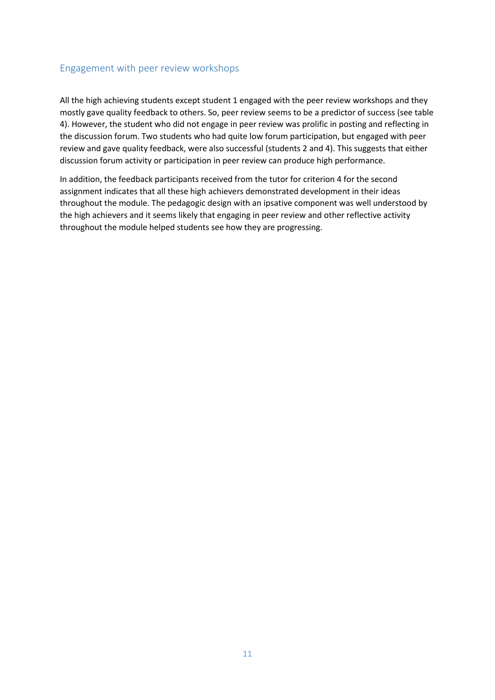#### <span id="page-11-0"></span>Engagement with peer review workshops

All the high achieving students except student 1 engaged with the peer review workshops and they mostly gave quality feedback to others. So, peer review seems to be a predictor of success (see table 4). However, the student who did not engage in peer review was prolific in posting and reflecting in the discussion forum. Two students who had quite low forum participation, but engaged with peer review and gave quality feedback, were also successful (students 2 and 4). This suggests that either discussion forum activity or participation in peer review can produce high performance.

In addition, the feedback participants received from the tutor for criterion 4 for the second assignment indicates that all these high achievers demonstrated development in their ideas throughout the module. The pedagogic design with an ipsative component was well understood by the high achievers and it seems likely that engaging in peer review and other reflective activity throughout the module helped students see how they are progressing.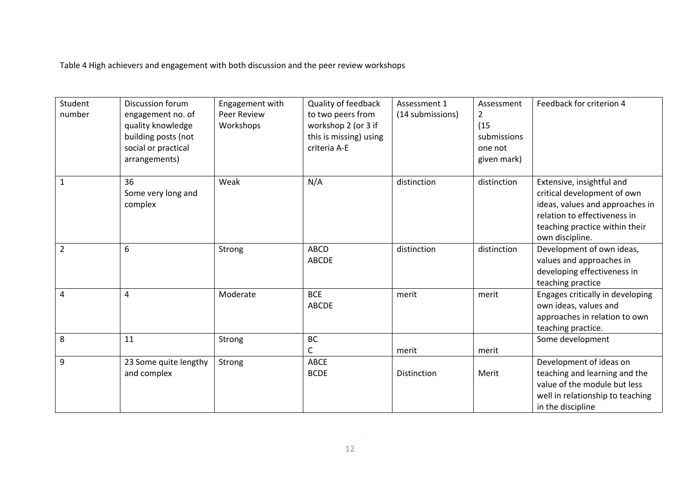Table 4 High achievers and engagement with both discussion and the peer review workshops

|                | Student<br>number | Discussion forum<br>engagement no. of<br>quality knowledge<br>building posts (not<br>social or practical<br>arrangements) | Engagement with<br><b>Peer Review</b><br>Workshops | Quality of feedback<br>to two peers from<br>workshop 2 (or 3 if<br>this is missing) using<br>criteria A-E | Assessment 1<br>(14 submissions) | Assessment<br>$\overline{2}$<br>(15)<br>submissions<br>one not<br>given mark) | Feedback for criterion 4                                                                                                                                                         |
|----------------|-------------------|---------------------------------------------------------------------------------------------------------------------------|----------------------------------------------------|-----------------------------------------------------------------------------------------------------------|----------------------------------|-------------------------------------------------------------------------------|----------------------------------------------------------------------------------------------------------------------------------------------------------------------------------|
| $\mathbf{1}$   |                   | 36<br>Some very long and<br>complex                                                                                       | Weak                                               | N/A                                                                                                       | distinction                      | distinction                                                                   | Extensive, insightful and<br>critical development of own<br>ideas, values and approaches in<br>relation to effectiveness in<br>teaching practice within their<br>own discipline. |
| $\overline{2}$ |                   | 6                                                                                                                         | Strong                                             | <b>ABCD</b><br>ABCDE                                                                                      | distinction                      | distinction                                                                   | Development of own ideas,<br>values and approaches in<br>developing effectiveness in<br>teaching practice                                                                        |
| 4              |                   | 4                                                                                                                         | Moderate                                           | <b>BCE</b><br>ABCDE                                                                                       | merit                            | merit                                                                         | Engages critically in developing<br>own ideas, values and<br>approaches in relation to own<br>teaching practice.                                                                 |
| 8              |                   | 11                                                                                                                        | Strong                                             | BC<br>$\mathsf{C}$                                                                                        | merit                            | merit                                                                         | Some development                                                                                                                                                                 |
| 9              |                   | 23 Some quite lengthy<br>and complex                                                                                      | Strong                                             | <b>ABCE</b><br><b>BCDE</b>                                                                                | Distinction                      | Merit                                                                         | Development of ideas on<br>teaching and learning and the<br>value of the module but less<br>well in relationship to teaching<br>in the discipline                                |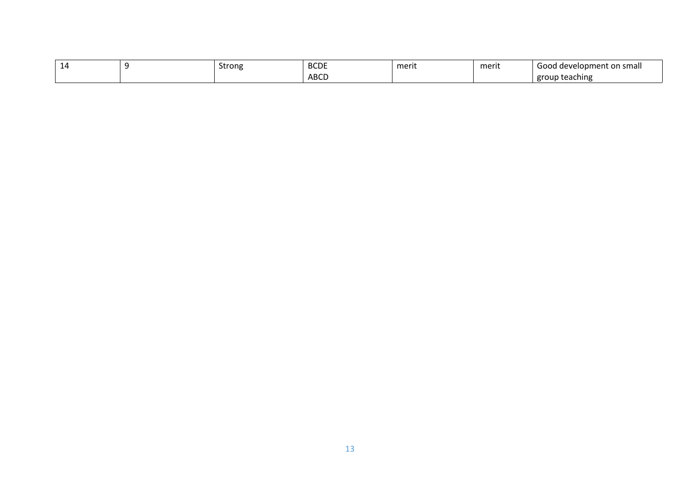| $\sim$ | Strong | <b>BCDE</b> | merit | merit | small<br>Good de'<br>. on<br>velopment |
|--------|--------|-------------|-------|-------|----------------------------------------|
|        |        | <b>ABCD</b> |       |       | group<br>rteaching<br>ר tea            |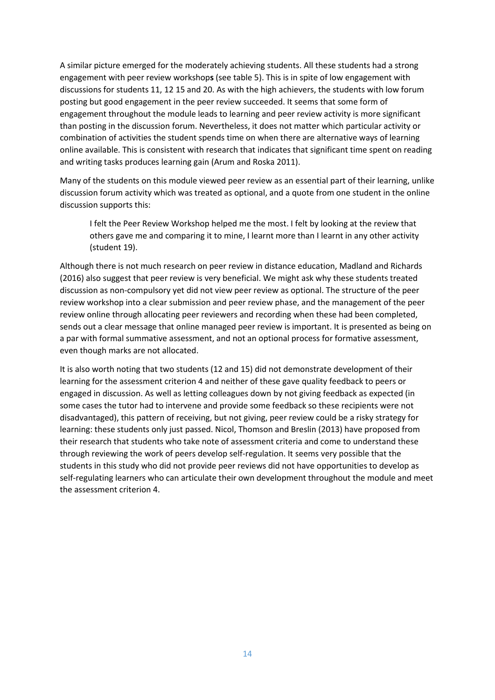A similar picture emerged for the moderately achieving students. All these students had a strong engagement with peer review workshop**s** (see table 5). This is in spite of low engagement with discussions for students 11, 12 15 and 20. As with the high achievers, the students with low forum posting but good engagement in the peer review succeeded. It seems that some form of engagement throughout the module leads to learning and peer review activity is more significant than posting in the discussion forum. Nevertheless, it does not matter which particular activity or combination of activities the student spends time on when there are alternative ways of learning online available. This is consistent with research that indicates that significant time spent on reading and writing tasks produces learning gain (Arum and Roska 2011).

Many of the students on this module viewed peer review as an essential part of their learning, unlike discussion forum activity which was treated as optional, and a quote from one student in the online discussion supports this:

I felt the Peer Review Workshop helped me the most. I felt by looking at the review that others gave me and comparing it to mine, I learnt more than I learnt in any other activity (student 19).

Although there is not much research on peer review in distance education, Madland and Richards (2016) also suggest that peer review is very beneficial. We might ask why these students treated discussion as non-compulsory yet did not view peer review as optional. The structure of the peer review workshop into a clear submission and peer review phase, and the management of the peer review online through allocating peer reviewers and recording when these had been completed, sends out a clear message that online managed peer review is important. It is presented as being on a par with formal summative assessment, and not an optional process for formative assessment, even though marks are not allocated.

It is also worth noting that two students (12 and 15) did not demonstrate development of their learning for the assessment criterion 4 and neither of these gave quality feedback to peers or engaged in discussion. As well as letting colleagues down by not giving feedback as expected (in some cases the tutor had to intervene and provide some feedback so these recipients were not disadvantaged), this pattern of receiving, but not giving, peer review could be a risky strategy for learning: these students only just passed. Nicol, Thomson and Breslin (2013) have proposed from their research that students who take note of assessment criteria and come to understand these through reviewing the work of peers develop self-regulation. It seems very possible that the students in this study who did not provide peer reviews did not have opportunities to develop as self-regulating learners who can articulate their own development throughout the module and meet the assessment criterion 4.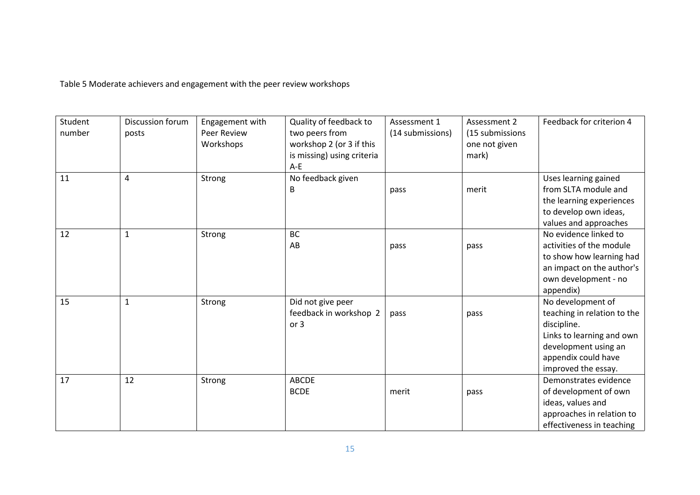Table 5 Moderate achievers and engagement with the peer review workshops

| Student<br>Discussion forum<br>Engagement with<br>number<br>Peer Review<br>posts | Quality of feedback to     | Assessment 1     | Assessment 2    | Feedback for criterion 4    |
|----------------------------------------------------------------------------------|----------------------------|------------------|-----------------|-----------------------------|
|                                                                                  |                            |                  |                 |                             |
|                                                                                  | two peers from             | (14 submissions) | (15 submissions |                             |
| Workshops                                                                        | workshop 2 (or 3 if this   |                  | one not given   |                             |
|                                                                                  | is missing) using criteria |                  | mark)           |                             |
|                                                                                  | $A-E$                      |                  |                 |                             |
| 11<br>4<br>Strong                                                                | No feedback given          |                  |                 | Uses learning gained        |
| B                                                                                |                            | pass             | merit           | from SLTA module and        |
|                                                                                  |                            |                  |                 | the learning experiences    |
|                                                                                  |                            |                  |                 | to develop own ideas,       |
|                                                                                  |                            |                  |                 | values and approaches       |
| BC<br>12<br>$\mathbf{1}$<br>Strong                                               |                            |                  |                 | No evidence linked to       |
| AB                                                                               |                            | pass             | pass            | activities of the module    |
|                                                                                  |                            |                  |                 | to show how learning had    |
|                                                                                  |                            |                  |                 | an impact on the author's   |
|                                                                                  |                            |                  |                 | own development - no        |
|                                                                                  |                            |                  |                 | appendix)                   |
| $\mathbf{1}$<br>15<br>Strong                                                     | Did not give peer          |                  |                 | No development of           |
|                                                                                  | feedback in workshop 2     | pass             | pass            | teaching in relation to the |
|                                                                                  | or <sub>3</sub>            |                  |                 | discipline.                 |
|                                                                                  |                            |                  |                 | Links to learning and own   |
|                                                                                  |                            |                  |                 | development using an        |
|                                                                                  |                            |                  |                 | appendix could have         |
|                                                                                  |                            |                  |                 | improved the essay.         |
| 12<br>17<br>Strong                                                               | <b>ABCDE</b>               |                  |                 | Demonstrates evidence       |
|                                                                                  | <b>BCDE</b>                | merit            | pass            | of development of own       |
|                                                                                  |                            |                  |                 | ideas, values and           |
|                                                                                  |                            |                  |                 | approaches in relation to   |
|                                                                                  |                            |                  |                 | effectiveness in teaching   |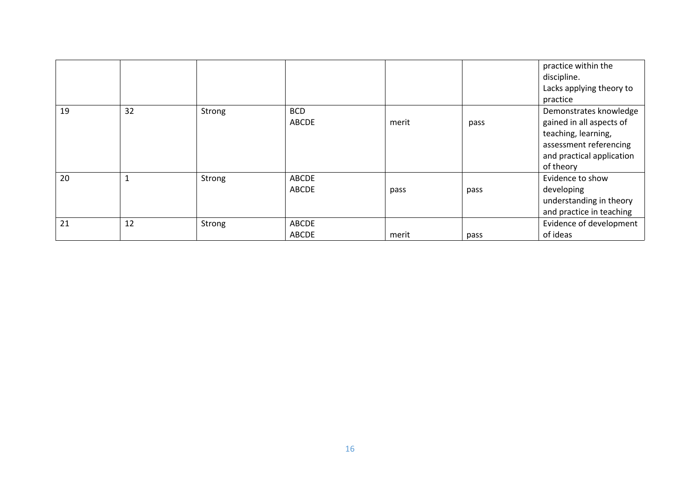|    |              |        |               |       |      | practice within the       |
|----|--------------|--------|---------------|-------|------|---------------------------|
|    |              |        |               |       |      | discipline.               |
|    |              |        |               |       |      | Lacks applying theory to  |
|    |              |        |               |       |      | practice                  |
| 19 | 32           | Strong | <b>BCD</b>    |       |      | Demonstrates knowledge    |
|    |              |        | ${\sf ABCDE}$ | merit | pass | gained in all aspects of  |
|    |              |        |               |       |      | teaching, learning,       |
|    |              |        |               |       |      | assessment referencing    |
|    |              |        |               |       |      | and practical application |
|    |              |        |               |       |      | of theory                 |
| 20 | $\mathbf{1}$ | Strong | <b>ABCDE</b>  |       |      | Evidence to show          |
|    |              |        | ${\sf ABCDE}$ | pass  | pass | developing                |
|    |              |        |               |       |      | understanding in theory   |
|    |              |        |               |       |      | and practice in teaching  |
| 21 | 12           | Strong | ABCDE         |       |      | Evidence of development   |
|    |              |        | ABCDE         | merit | pass | of ideas                  |
|    |              |        |               |       |      |                           |
|    |              |        |               |       |      |                           |
|    |              |        |               |       |      |                           |
|    |              |        |               |       |      |                           |
|    |              |        |               |       |      |                           |
|    |              |        |               |       |      |                           |
|    |              |        |               |       |      |                           |
|    |              |        |               |       |      |                           |
|    |              |        |               |       |      |                           |
|    |              |        |               |       |      |                           |
|    |              |        | 16            |       |      |                           |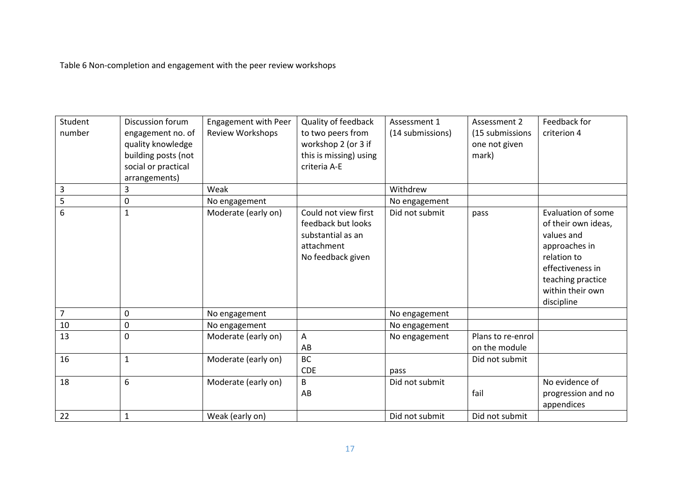Table 6 Non-completion and engagement with the peer review workshops

| Student<br>number<br>3<br>5 | Discussion forum<br>engagement no. of<br>quality knowledge<br>building posts (not<br>social or practical<br>arrangements)<br>3<br>0 | <b>Engagement with Peer</b><br>Review Workshops<br>Weak | Quality of feedback<br>to two peers from<br>workshop 2 (or 3 if<br>this is missing) using<br>criteria A-E | Assessment 1<br>(14 submissions)<br>Withdrew | Assessment 2<br>(15 submissions<br>one not given<br>mark) | Feedback for<br>criterion 4                                                                                                                                               |
|-----------------------------|-------------------------------------------------------------------------------------------------------------------------------------|---------------------------------------------------------|-----------------------------------------------------------------------------------------------------------|----------------------------------------------|-----------------------------------------------------------|---------------------------------------------------------------------------------------------------------------------------------------------------------------------------|
| 6                           | $\mathbf{1}$                                                                                                                        | No engagement<br>Moderate (early on)                    | Could not view first<br>feedback but looks<br>substantial as an<br>attachment<br>No feedback given        | No engagement<br>Did not submit              | pass                                                      | <b>Evaluation of some</b><br>of their own ideas,<br>values and<br>approaches in<br>relation to<br>effectiveness in<br>teaching practice<br>within their own<br>discipline |
| $\overline{7}$              | 0                                                                                                                                   | No engagement                                           |                                                                                                           | No engagement                                |                                                           |                                                                                                                                                                           |
| 10                          | 0                                                                                                                                   | No engagement                                           |                                                                                                           | No engagement                                |                                                           |                                                                                                                                                                           |
| 13                          | 0                                                                                                                                   | Moderate (early on)                                     | A<br>AB                                                                                                   | No engagement                                | Plans to re-enrol<br>on the module                        |                                                                                                                                                                           |
| 16                          | $\mathbf{1}$                                                                                                                        | Moderate (early on)                                     | <b>BC</b><br><b>CDE</b>                                                                                   | pass                                         | Did not submit                                            |                                                                                                                                                                           |
| 18                          | 6                                                                                                                                   | Moderate (early on)                                     | B<br>AB                                                                                                   | Did not submit                               | fail                                                      | No evidence of<br>progression and no<br>appendices                                                                                                                        |
| 22                          | 1                                                                                                                                   | Weak (early on)                                         |                                                                                                           | Did not submit                               | Did not submit                                            |                                                                                                                                                                           |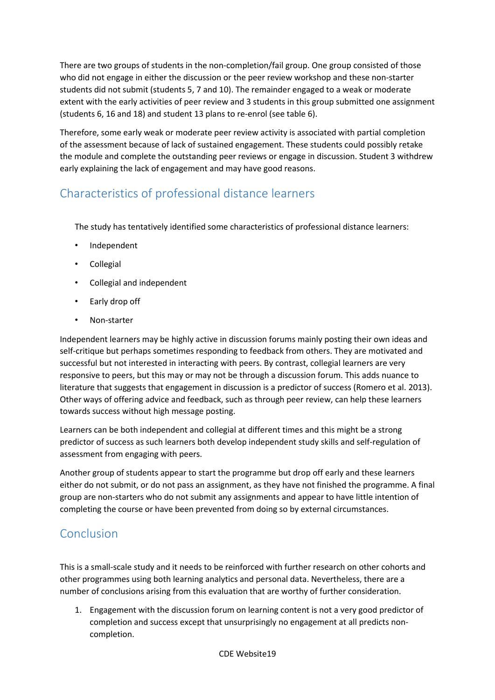There are two groups of students in the non-completion/fail group. One group consisted of those who did not engage in either the discussion or the peer review workshop and these non-starter students did not submit (students 5, 7 and 10). The remainder engaged to a weak or moderate extent with the early activities of peer review and 3 studentsin this group submitted one assignment (students 6, 16 and 18) and student 13 plans to re-enrol (see table 6).

Therefore, some early weak or moderate peer review activity is associated with partial completion of the assessment because of lack of sustained engagement. These students could possibly retake the module and complete the outstanding peer reviews or engage in discussion. Student 3 withdrew early explaining the lack of engagement and may have good reasons.

# <span id="page-18-0"></span>Characteristics of professional distance learners

The study has tentatively identified some characteristics of professional distance learners:

- **Independent**
- **Collegial**
- Collegial and independent
- Early drop off
- Non-starter

Independent learners may be highly active in discussion forums mainly posting their own ideas and self-critique but perhaps sometimes responding to feedback from others. They are motivated and successful but not interested in interacting with peers. By contrast, collegial learners are very responsive to peers, but this may or may not be through a discussion forum. This adds nuance to literature that suggests that engagement in discussion is a predictor of success (Romero et al. 2013). Other ways of offering advice and feedback, such as through peer review, can help these learners towards success without high message posting.

Learners can be both independent and collegial at different times and this might be a strong predictor of success as such learners both develop independent study skills and self-regulation of assessment from engaging with peers.

Another group of students appear to start the programme but drop off early and these learners either do not submit, or do not pass an assignment, as they have not finished the programme. A final group are non-starters who do not submit any assignments and appear to have little intention of completing the course or have been prevented from doing so by external circumstances.

### <span id="page-18-1"></span>Conclusion

This is a small-scale study and it needs to be reinforced with further research on other cohorts and other programmes using both learning analytics and personal data. Nevertheless, there are a number of conclusions arising from this evaluation that are worthy of further consideration.

1. Engagement with the discussion forum on learning content is not a very good predictor of completion and success except that unsurprisingly no engagement at all predicts non completion.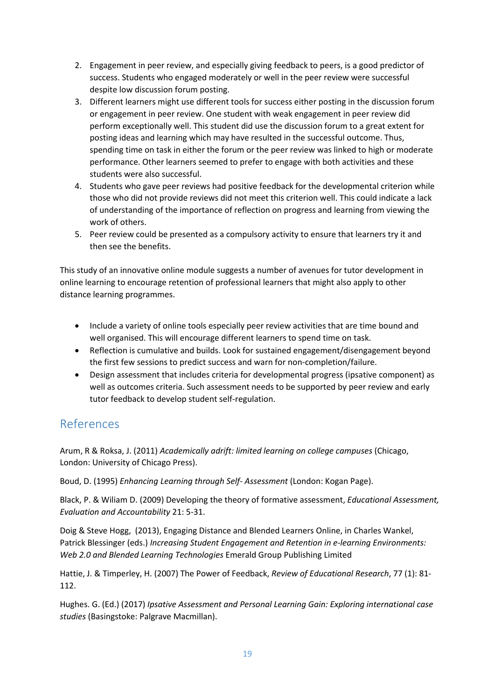- 2. Engagement in peer review, and especially giving feedback to peers, is a good predictor of success. Students who engaged moderately or well in the peer review were successful despite low discussion forum posting.
- 3. Different learners might use different tools for success either posting in the discussion forum or engagement in peer review. One student with weak engagement in peer review did perform exceptionally well. This student did use the discussion forum to a great extent for posting ideas and learning which may have resulted in the successful outcome. Thus, spending time on task in either the forum or the peer review was linked to high or moderate performance. Other learners seemed to prefer to engage with both activities and these students were also successful.
- 4. Students who gave peer reviews had positive feedback for the developmental criterion while those who did not provide reviews did not meet this criterion well. This could indicate a lack of understanding of the importance of reflection on progress and learning from viewing the work of others.
- 5. Peer review could be presented as a compulsory activity to ensure that learners try it and then see the benefits.

This study of an innovative online module suggests a number of avenues for tutor development in online learning to encourage retention of professional learners that might also apply to other distance learning programmes.

- Include a variety of online tools especially peer review activities that are time bound and well organised. This will encourage different learners to spend time on task.
- Reflection is cumulative and builds. Look for sustained engagement/disengagement beyond the first few sessions to predict success and warn for non-completion/failure.
- Design assessment that includes criteria for developmental progress (ipsative component) as well as outcomes criteria. Such assessment needs to be supported by peer review and early tutor feedback to develop student self-regulation.

# <span id="page-19-0"></span>References

Arum, R & Roksa, J. (2011) *Academically adrift: limited learning on college campuses* (Chicago, London: University of Chicago Press).

Boud, D. (1995) *Enhancing Learning through Self- Assessment* (London: Kogan Page).

Black, P. & Wiliam D. (2009) Developing the theory of formative assessment, *Educational Assessment, Evaluation and Accountability* 21: 5-31.

Doig & Steve Hogg, (2013), Engaging Distance and Blended Learners Online, in Charles Wankel, Patrick Blessinger (eds.) *Increasing Student Engagement and Retention in e-learning Environments: Web 2.0 and Blended Learning Technologies* Emerald Group Publishing Limited

Hattie, J. & Timperley, H. (2007) The Powerof Feedback, *Review of Educational Research*, 77 (1): 81- 112.

Hughes. G. (Ed.) (2017) *Ipsative Assessment and Personal Learning Gain: Exploring internationalcase studies* (Basingstoke: Palgrave Macmillan).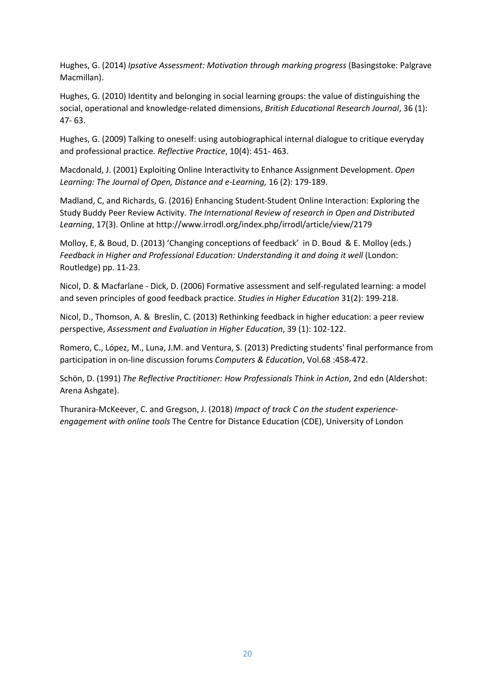Hughes, G. (2014) *Ipsative Assessment: Motivation through marking progress* (Basingstoke: Palgrave Macmillan).

Hughes, G. (2010) Identity and belonging in social learning groups: the value of distinguishing the social, operational and knowledge-related dimensions, *British Educational Research Journal*, 36 (1): 47- 63.

Hughes, G. (2009) Talking to oneself: using autobiographical internal dialogue to critique everyday and professional practice. *Reflective Practice*, 10(4): 451- 463.

Macdonald, J. (2001) Exploiting Online Interactivity to Enhance Assignment Development. *Open Learning: The Journal of Open, Distance and e-Learning,* 16 (2): 179-189.

Madland, C, and Richards, G. (2016) Enhancing Student-Student Online Interaction: Exploring the Study Buddy Peer Review Activity. *The International Review of research in Open and Distributed Learning*, 17(3). Online at http://www.irrodl.org/index.php/irrodl/article/view/2179

Molloy, E, & Boud, D. (2013) 'Changing conceptions of feedback' in D. Boud & E. Molloy (eds.) *Feedback in Higher and Professional Education: Understanding it and doing it well* (London: Routledge) pp. 11-23.

Nicol, D. & Macfarlane - Dick, D. (2006) Formative assessment and self-regulated learning: a model and seven principles of good feedback practice. *Studies in Higher Education* 31(2): 199-218.

Nicol, D., Thomson, A. & Breslin, C. (2013) Rethinking feedback in higher education: a peer review perspective, *Assessment and Evaluation in Higher Education*, 39 (1): 102-122.

Romero, C., López, M., Luna, J.M. and Ventura, S. (2013) Predicting students' final performance from participation in on-line discussion forums *Computers & Education*, Vol.68 :458-472.

Schön, D. (1991) *The Reflective Practitioner: How Professionals Think in Action*, 2nd edn (Aldershot: Arena Ashgate).

Thuranira-McKeever, C. and Gregson, J. (2018) *Impact of track C on the student experience engagement with online tools* The Centre for Distance Education (CDE), University of London